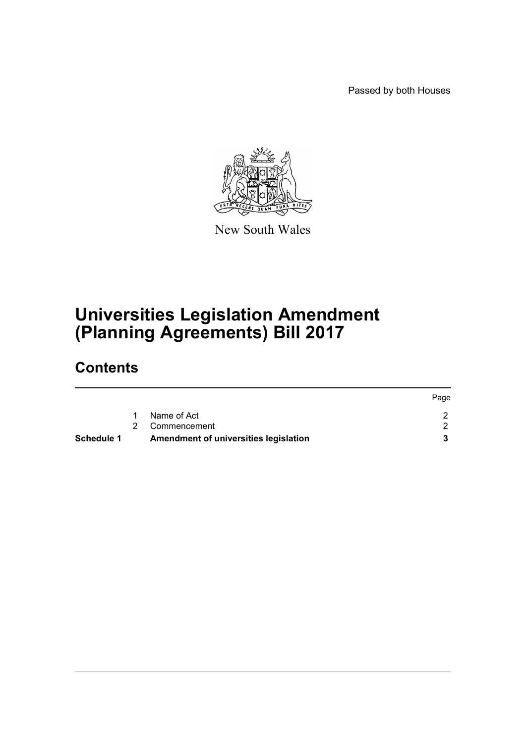Passed by both Houses



New South Wales

## **Universities Legislation Amendment (Planning Agreements) Bill 2017**

## **Contents**

| Schedule 1 |   | Amendment of universities legislation |      |
|------------|---|---------------------------------------|------|
|            |   | 2 Commencement                        |      |
|            | 1 | Name of Act                           |      |
|            |   |                                       | Page |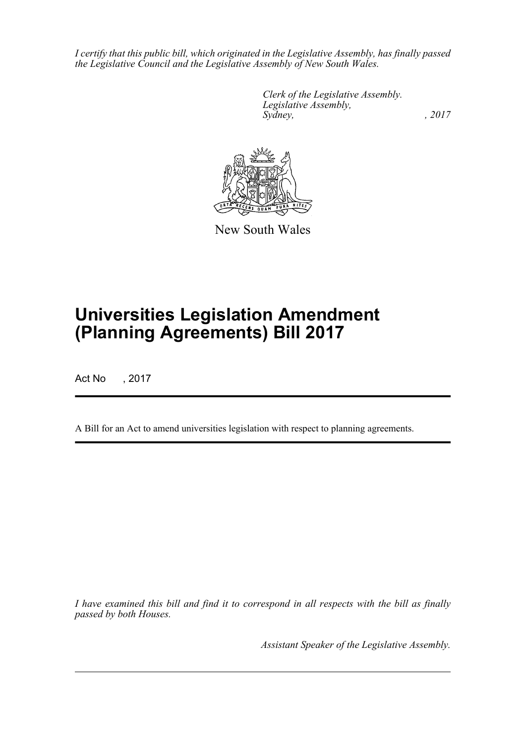*I certify that this public bill, which originated in the Legislative Assembly, has finally passed the Legislative Council and the Legislative Assembly of New South Wales.*

> *Clerk of the Legislative Assembly. Legislative Assembly, Sydney,* , 2017



New South Wales

# **Universities Legislation Amendment (Planning Agreements) Bill 2017**

Act No , 2017

A Bill for an Act to amend universities legislation with respect to planning agreements.

*I have examined this bill and find it to correspond in all respects with the bill as finally passed by both Houses.*

*Assistant Speaker of the Legislative Assembly.*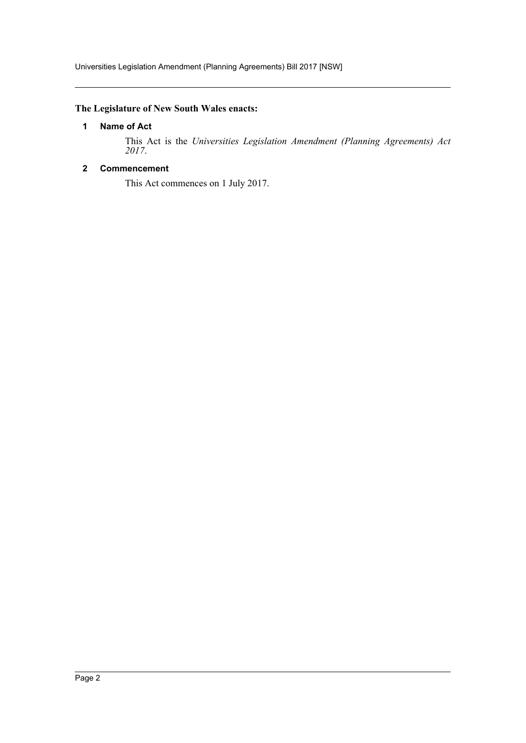## <span id="page-2-0"></span>**The Legislature of New South Wales enacts:**

#### **1 Name of Act**

This Act is the *Universities Legislation Amendment (Planning Agreements) Act 2017*.

#### <span id="page-2-1"></span>**2 Commencement**

This Act commences on 1 July 2017.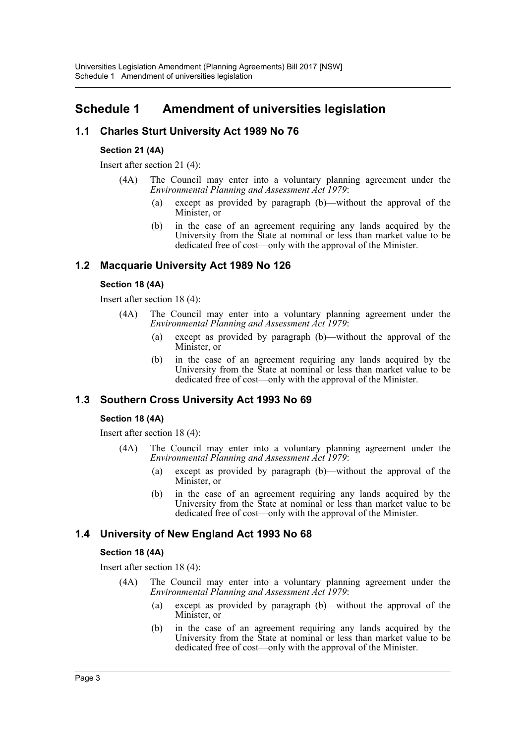## <span id="page-3-0"></span>**Schedule 1 Amendment of universities legislation**

## **1.1 Charles Sturt University Act 1989 No 76**

#### **Section 21 (4A)**

Insert after section 21 (4):

- (4A) The Council may enter into a voluntary planning agreement under the *Environmental Planning and Assessment Act 1979*:
	- (a) except as provided by paragraph (b)—without the approval of the Minister, or
	- (b) in the case of an agreement requiring any lands acquired by the University from the State at nominal or less than market value to be dedicated free of cost—only with the approval of the Minister.

## **1.2 Macquarie University Act 1989 No 126**

#### **Section 18 (4A)**

Insert after section 18 (4):

- (4A) The Council may enter into a voluntary planning agreement under the *Environmental Planning and Assessment Act 1979*:
	- (a) except as provided by paragraph (b)—without the approval of the Minister, or
	- (b) in the case of an agreement requiring any lands acquired by the University from the State at nominal or less than market value to be dedicated free of cost—only with the approval of the Minister.

### **1.3 Southern Cross University Act 1993 No 69**

#### **Section 18 (4A)**

Insert after section 18 (4):

- (4A) The Council may enter into a voluntary planning agreement under the *Environmental Planning and Assessment Act 1979*:
	- (a) except as provided by paragraph (b)—without the approval of the Minister, or
	- (b) in the case of an agreement requiring any lands acquired by the University from the State at nominal or less than market value to be dedicated free of cost—only with the approval of the Minister.

### **1.4 University of New England Act 1993 No 68**

#### **Section 18 (4A)**

Insert after section 18 (4):

- (4A) The Council may enter into a voluntary planning agreement under the *Environmental Planning and Assessment Act 1979*:
	- (a) except as provided by paragraph (b)—without the approval of the Minister, or
	- (b) in the case of an agreement requiring any lands acquired by the University from the State at nominal or less than market value to be dedicated free of cost—only with the approval of the Minister.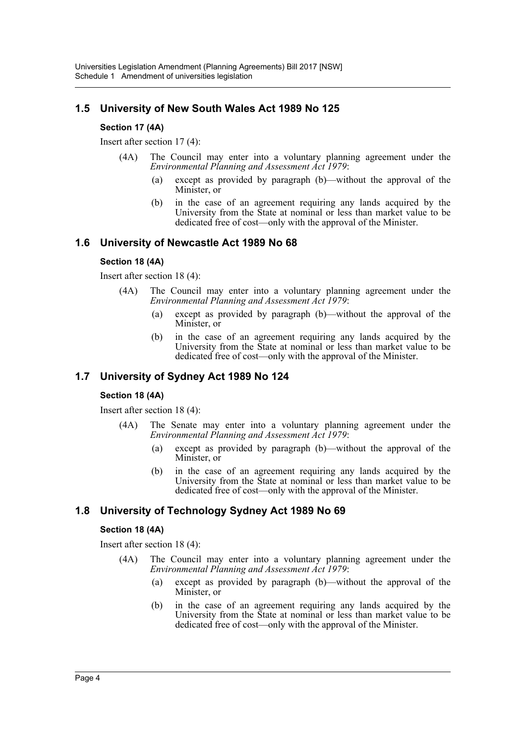## **1.5 University of New South Wales Act 1989 No 125**

#### **Section 17 (4A)**

Insert after section 17 (4):

- (4A) The Council may enter into a voluntary planning agreement under the *Environmental Planning and Assessment Act 1979*:
	- (a) except as provided by paragraph (b)—without the approval of the Minister, or
	- (b) in the case of an agreement requiring any lands acquired by the University from the State at nominal or less than market value to be dedicated free of cost—only with the approval of the Minister.

#### **1.6 University of Newcastle Act 1989 No 68**

#### **Section 18 (4A)**

Insert after section 18 (4):

- (4A) The Council may enter into a voluntary planning agreement under the *Environmental Planning and Assessment Act 1979*:
	- (a) except as provided by paragraph (b)—without the approval of the Minister, or
	- (b) in the case of an agreement requiring any lands acquired by the University from the State at nominal or less than market value to be dedicated free of cost—only with the approval of the Minister.

### **1.7 University of Sydney Act 1989 No 124**

#### **Section 18 (4A)**

Insert after section 18 (4):

- (4A) The Senate may enter into a voluntary planning agreement under the *Environmental Planning and Assessment Act 1979*:
	- (a) except as provided by paragraph (b)—without the approval of the Minister, or
	- (b) in the case of an agreement requiring any lands acquired by the University from the State at nominal or less than market value to be dedicated free of cost—only with the approval of the Minister.

#### **1.8 University of Technology Sydney Act 1989 No 69**

#### **Section 18 (4A)**

Insert after section 18 (4):

- (4A) The Council may enter into a voluntary planning agreement under the *Environmental Planning and Assessment Act 1979*:
	- (a) except as provided by paragraph (b)—without the approval of the Minister, or
	- (b) in the case of an agreement requiring any lands acquired by the University from the State at nominal or less than market value to be dedicated free of cost—only with the approval of the Minister.